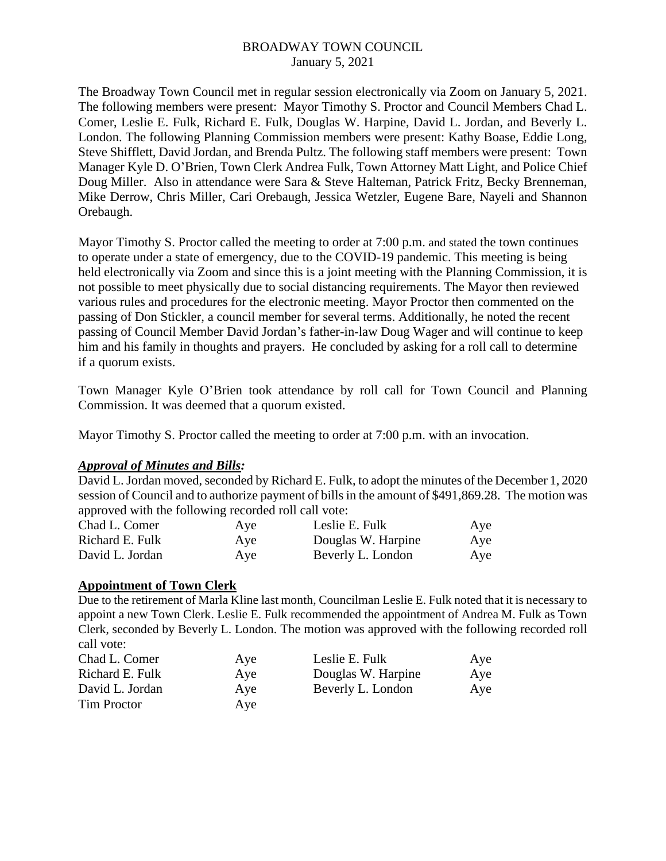The Broadway Town Council met in regular session electronically via Zoom on January 5, 2021. The following members were present: Mayor Timothy S. Proctor and Council Members Chad L. Comer, Leslie E. Fulk, Richard E. Fulk, Douglas W. Harpine, David L. Jordan, and Beverly L. London. The following Planning Commission members were present: Kathy Boase, Eddie Long, Steve Shifflett, David Jordan, and Brenda Pultz. The following staff members were present: Town Manager Kyle D. O'Brien, Town Clerk Andrea Fulk, Town Attorney Matt Light, and Police Chief Doug Miller. Also in attendance were Sara & Steve Halteman, Patrick Fritz, Becky Brenneman, Mike Derrow, Chris Miller, Cari Orebaugh, Jessica Wetzler, Eugene Bare, Nayeli and Shannon Orebaugh.

Mayor Timothy S. Proctor called the meeting to order at 7:00 p.m. and stated the town continues to operate under a state of emergency, due to the COVID-19 pandemic. This meeting is being held electronically via Zoom and since this is a joint meeting with the Planning Commission, it is not possible to meet physically due to social distancing requirements. The Mayor then reviewed various rules and procedures for the electronic meeting. Mayor Proctor then commented on the passing of Don Stickler, a council member for several terms. Additionally, he noted the recent passing of Council Member David Jordan's father-in-law Doug Wager and will continue to keep him and his family in thoughts and prayers. He concluded by asking for a roll call to determine if a quorum exists.

Town Manager Kyle O'Brien took attendance by roll call for Town Council and Planning Commission. It was deemed that a quorum existed.

Mayor Timothy S. Proctor called the meeting to order at 7:00 p.m. with an invocation.

### *Approval of Minutes and Bills:*

David L. Jordan moved, seconded by Richard E. Fulk, to adopt the minutes of the December 1, 2020 session of Council and to authorize payment of bills in the amount of \$491,869.28. The motion was approved with the following recorded roll call vote:

| Chad L. Comer   | Aye<br>Aye<br>Aye | Leslie E. Fulk<br>Douglas W. Harpine<br>Beverly L. London | Aye        |
|-----------------|-------------------|-----------------------------------------------------------|------------|
| Richard E. Fulk |                   |                                                           | Aye<br>Aye |
| David L. Jordan |                   |                                                           |            |

### **Appointment of Town Clerk**

Due to the retirement of Marla Kline last month, Councilman Leslie E. Fulk noted that it is necessary to appoint a new Town Clerk. Leslie E. Fulk recommended the appointment of Andrea M. Fulk as Town Clerk, seconded by Beverly L. London. The motion was approved with the following recorded roll call vote:

| Chad L. Comer   | Aye | Leslie E. Fulk     | Aye |
|-----------------|-----|--------------------|-----|
| Richard E. Fulk | Aye | Douglas W. Harpine | Aye |
| David L. Jordan | Aye | Beverly L. London  | Aye |
| Tim Proctor     | Aye |                    |     |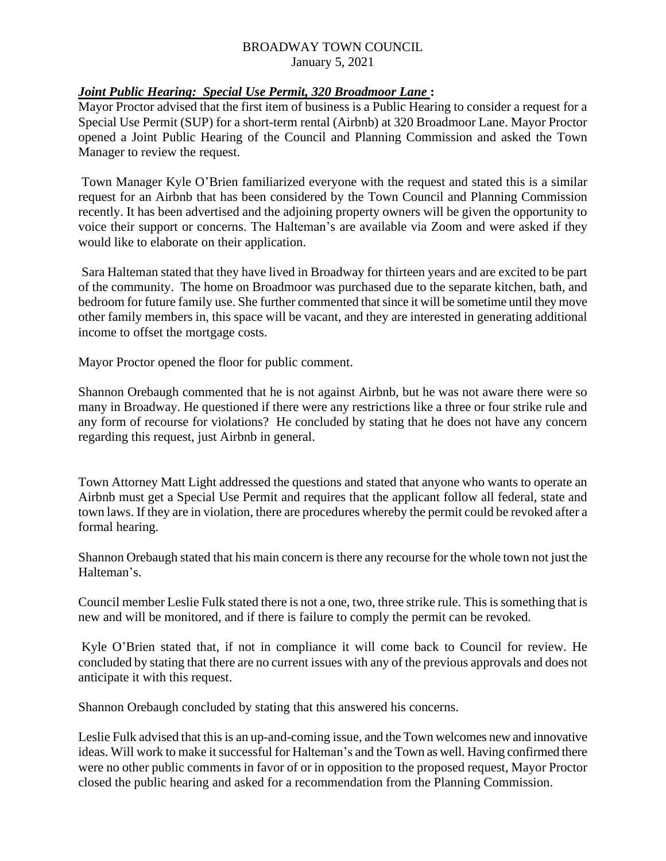# *Joint Public Hearing: Special Use Permit, 320 Broadmoor Lane* **:**

Mayor Proctor advised that the first item of business is a Public Hearing to consider a request for a Special Use Permit (SUP) for a short-term rental (Airbnb) at 320 Broadmoor Lane. Mayor Proctor opened a Joint Public Hearing of the Council and Planning Commission and asked the Town Manager to review the request.

Town Manager Kyle O'Brien familiarized everyone with the request and stated this is a similar request for an Airbnb that has been considered by the Town Council and Planning Commission recently. It has been advertised and the adjoining property owners will be given the opportunity to voice their support or concerns. The Halteman's are available via Zoom and were asked if they would like to elaborate on their application.

Sara Halteman stated that they have lived in Broadway for thirteen years and are excited to be part of the community. The home on Broadmoor was purchased due to the separate kitchen, bath, and bedroom for future family use. She further commented that since it will be sometime until they move other family members in, this space will be vacant, and they are interested in generating additional income to offset the mortgage costs.

Mayor Proctor opened the floor for public comment.

Shannon Orebaugh commented that he is not against Airbnb, but he was not aware there were so many in Broadway. He questioned if there were any restrictions like a three or four strike rule and any form of recourse for violations? He concluded by stating that he does not have any concern regarding this request, just Airbnb in general.

Town Attorney Matt Light addressed the questions and stated that anyone who wants to operate an Airbnb must get a Special Use Permit and requires that the applicant follow all federal, state and town laws. If they are in violation, there are procedures whereby the permit could be revoked after a formal hearing.

Shannon Orebaugh stated that his main concern is there any recourse for the whole town not just the Halteman's.

Council member Leslie Fulk stated there is not a one, two, three strike rule. This is something that is new and will be monitored, and if there is failure to comply the permit can be revoked.

Kyle O'Brien stated that, if not in compliance it will come back to Council for review. He concluded by stating that there are no current issues with any of the previous approvals and does not anticipate it with this request.

Shannon Orebaugh concluded by stating that this answered his concerns.

Leslie Fulk advised that this is an up-and-coming issue, and the Town welcomes new and innovative ideas. Will work to make it successful for Halteman's and the Town as well. Having confirmed there were no other public comments in favor of or in opposition to the proposed request, Mayor Proctor closed the public hearing and asked for a recommendation from the Planning Commission.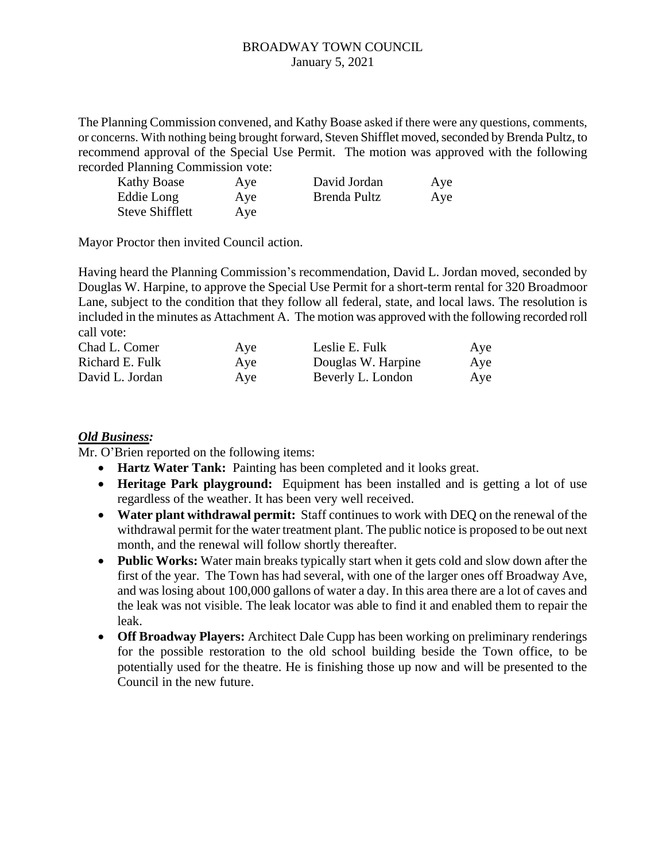The Planning Commission convened, and Kathy Boase asked if there were any questions, comments, or concerns. With nothing being brought forward, Steven Shifflet moved, seconded by Brenda Pultz, to recommend approval of the Special Use Permit. The motion was approved with the following recorded Planning Commission vote:

| <b>Kathy Boase</b>     | Aye | David Jordan | Aye |
|------------------------|-----|--------------|-----|
| Eddie Long             | Aye | Brenda Pultz | Aye |
| <b>Steve Shifflett</b> | Aye |              |     |

Mayor Proctor then invited Council action.

Having heard the Planning Commission's recommendation, David L. Jordan moved, seconded by Douglas W. Harpine, to approve the Special Use Permit for a short-term rental for 320 Broadmoor Lane, subject to the condition that they follow all federal, state, and local laws. The resolution is included in the minutes as Attachment A. The motion was approved with the following recorded roll call vote:

| Chad L. Comer   | Aye | Leslie E. Fulk     | Aye |
|-----------------|-----|--------------------|-----|
| Richard E. Fulk | Aye | Douglas W. Harpine | Aye |
| David L. Jordan | Aye | Beverly L. London  | Aye |

## *Old Business:*

Mr. O'Brien reported on the following items:

- **Hartz Water Tank:** Painting has been completed and it looks great.
- **Heritage Park playground:** Equipment has been installed and is getting a lot of use regardless of the weather. It has been very well received.
- **Water plant withdrawal permit:** Staff continues to work with DEQ on the renewal of the withdrawal permit for the water treatment plant. The public notice is proposed to be out next month, and the renewal will follow shortly thereafter.
- **Public Works:** Water main breaks typically start when it gets cold and slow down after the first of the year. The Town has had several, with one of the larger ones off Broadway Ave, and was losing about 100,000 gallons of water a day. In this area there are a lot of caves and the leak was not visible. The leak locator was able to find it and enabled them to repair the leak.
- **Off Broadway Players:** Architect Dale Cupp has been working on preliminary renderings for the possible restoration to the old school building beside the Town office, to be potentially used for the theatre. He is finishing those up now and will be presented to the Council in the new future.